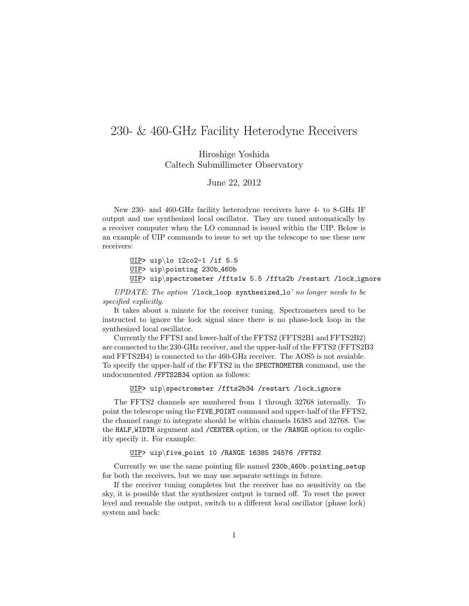## 230- & 460-GHz Facility Heterodyne Receivers

Hiroshige Yoshida Caltech Submillimeter Observatory

June 22, 2012

New 230- and 460-GHz facility heterodyne receivers have 4- to 8-GHz IF output and use synthesized local oscillator. They are tuned automatically by a receiver computer when the LO commnad is issued within the UIP. Below is an example of UIP commands to issue to set up the telescope to use these new receivers:

> UIP> uip\lo 12co2-1 /if 5.5 UIP> uip\pointing 230b 460b UIP> uip\spectrometer /ffts1w 5.5 /ffts2b /restart /lock\_ignore

UPDATE: The option '/lock\_loop synthesized\_lo' no longer needs to be specified explicitly.

It takes about a minute for the receiver tuning. Spectrometers need to be instructed to ignore the lock signal since there is no phase-lock loop in the synthesized local oscillator.

Currently the FFTS1 and lower-half of the FFTS2 (FFTS2B1 and FFTS2B2) are connected to the 230-GHz receiver, and the upper-half of the FFTS2 (FFTS2B3 and FFTS2B4) is connected to the 460-GHz receiver. The AOS5 is not avaiable. To specify the upper-half of the FFTS2 in the SPECTROMETER command, use the undocumented /FFTS2B34 option as follows:

UIP> uip\spectrometer /ffts2b34 /restart /lock\_ignore

The FFTS2 channels are numbered from 1 through 32768 internally. To point the telescope using the FIVE POINT command and upper-half of the FFTS2, the channel range to integrate should be within channels 16385 and 32768. Use the HALF WIDTH argument and /CENTER option, or the /RANGE option to explicitly specify it. For example:

UIP> uip\five point 10 /RANGE 16385 24576 /FFTS2

Currently we use the same pointing file named 230b 460b.pointing setup for both the receivers, but we may use separate settings in future.

If the receiver tuning completes but the receiver has no sensitivity on the sky, it is possible that the synthesizer output is turned off. To reset the power level and reenable the output, switch to a different local oscillator (phase lock) system and back: